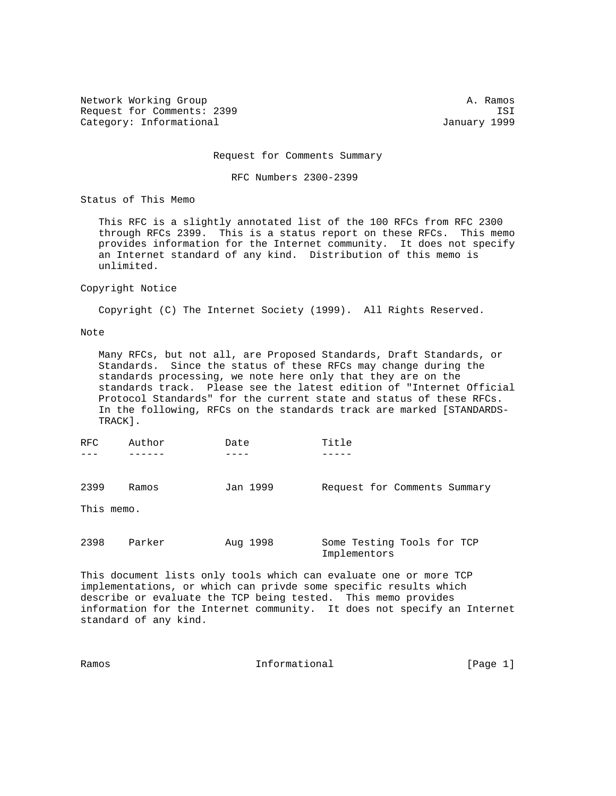Network Working Group and the set of the set of the set of the set of the set of the set of the set of the set of the set of the set of the set of the set of the set of the set of the set of the set of the set of the set o Request for Comments: 2399 ISI Category: Informational and Category: Informational and January 1999

Request for Comments Summary

RFC Numbers 2300-2399

Status of This Memo

 This RFC is a slightly annotated list of the 100 RFCs from RFC 2300 through RFCs 2399. This is a status report on these RFCs. This memo provides information for the Internet community. It does not specify an Internet standard of any kind. Distribution of this memo is unlimited.

## Copyright Notice

Copyright (C) The Internet Society (1999). All Rights Reserved.

## Note

 Many RFCs, but not all, are Proposed Standards, Draft Standards, or Standards. Since the status of these RFCs may change during the standards processing, we note here only that they are on the standards track. Please see the latest edition of "Internet Official Protocol Standards" for the current state and status of these RFCs. In the following, RFCs on the standards track are marked [STANDARDS- TRACK].

| RFC        | Author | Date     | Title                                      |
|------------|--------|----------|--------------------------------------------|
| 2399       | Ramos  | Jan 1999 | Request for Comments Summary               |
| This memo. |        |          |                                            |
| 2398       | Parker | Aug 1998 | Some Testing Tools for TCP<br>Implementors |

This document lists only tools which can evaluate one or more TCP implementations, or which can privde some specific results which describe or evaluate the TCP being tested. This memo provides information for the Internet community. It does not specify an Internet standard of any kind.

| Ramos | Informational | [Page 1] |  |
|-------|---------------|----------|--|
|       |               |          |  |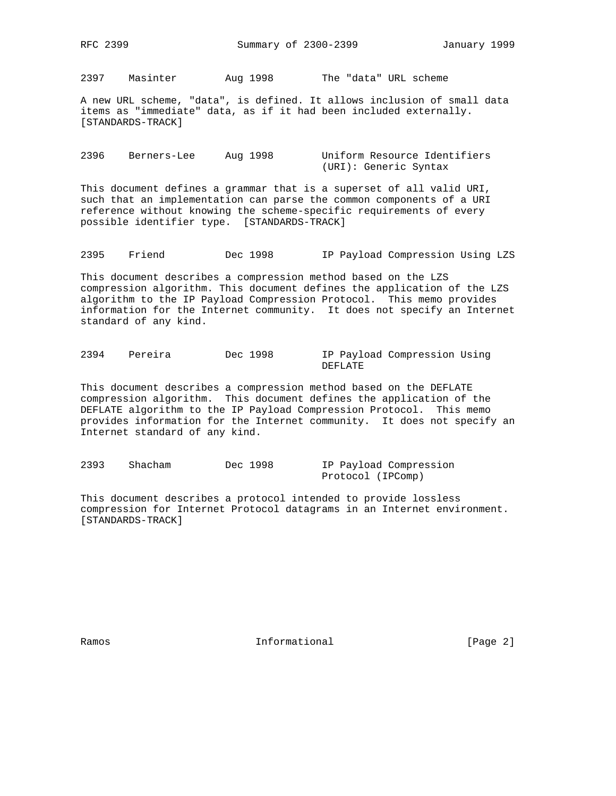2397 Masinter Aug 1998 The "data" URL scheme

A new URL scheme, "data", is defined. It allows inclusion of small data items as "immediate" data, as if it had been included externally. [STANDARDS-TRACK]

2396 Berners-Lee Aug 1998 Uniform Resource Identifiers (URI): Generic Syntax

This document defines a grammar that is a superset of all valid URI, such that an implementation can parse the common components of a URI reference without knowing the scheme-specific requirements of every possible identifier type. [STANDARDS-TRACK]

2395 Friend Dec 1998 IP Payload Compression Using LZS

This document describes a compression method based on the LZS compression algorithm. This document defines the application of the LZS algorithm to the IP Payload Compression Protocol. This memo provides information for the Internet community. It does not specify an Internet standard of any kind.

2394 Pereira Dec 1998 IP Payload Compression Using DEFLATE

This document describes a compression method based on the DEFLATE compression algorithm. This document defines the application of the DEFLATE algorithm to the IP Payload Compression Protocol. This memo provides information for the Internet community. It does not specify an Internet standard of any kind.

2393 Shacham Dec 1998 IP Payload Compression Protocol (IPComp)

This document describes a protocol intended to provide lossless compression for Internet Protocol datagrams in an Internet environment. [STANDARDS-TRACK]

Ramos **Informational Informational** [Page 2]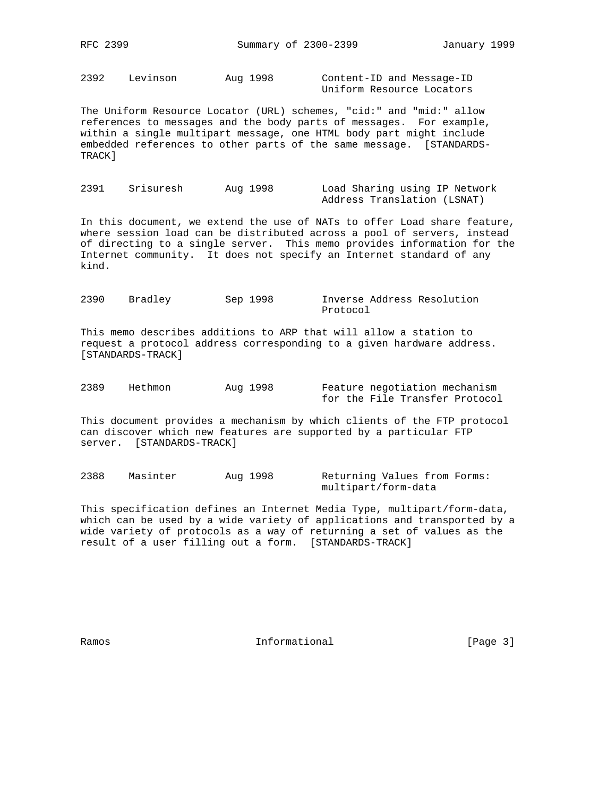2392 Levinson Aug 1998 Content-ID and Message-ID

Uniform Resource Locators

The Uniform Resource Locator (URL) schemes, "cid:" and "mid:" allow references to messages and the body parts of messages. For example, within a single multipart message, one HTML body part might include embedded references to other parts of the same message. [STANDARDS-TRACK]

2391 Srisuresh Aug 1998 Load Sharing using IP Network Address Translation (LSNAT)

In this document, we extend the use of NATs to offer Load share feature, where session load can be distributed across a pool of servers, instead of directing to a single server. This memo provides information for the Internet community. It does not specify an Internet standard of any kind.

2390 Bradley Sep 1998 Inverse Address Resolution Protocol

This memo describes additions to ARP that will allow a station to request a protocol address corresponding to a given hardware address. [STANDARDS-TRACK]

2389 Hethmon Aug 1998 Feature negotiation mechanism for the File Transfer Protocol

This document provides a mechanism by which clients of the FTP protocol can discover which new features are supported by a particular FTP server. [STANDARDS-TRACK]

2388 Masinter Aug 1998 Returning Values from Forms: multipart/form-data

This specification defines an Internet Media Type, multipart/form-data, which can be used by a wide variety of applications and transported by a wide variety of protocols as a way of returning a set of values as the result of a user filling out a form. [STANDARDS-TRACK]

Ramos **Informational Informational** [Page 3]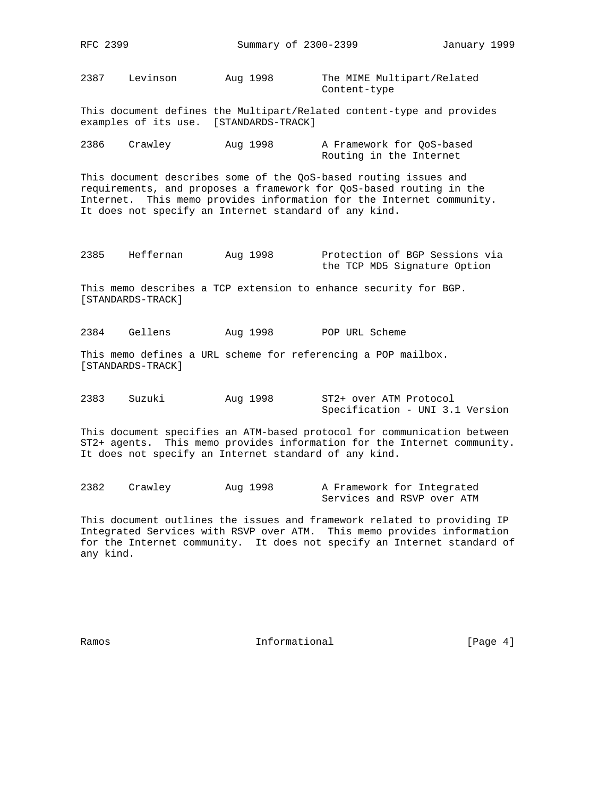2387 Levinson Aug 1998 The MIME Multipart/Related Content-type

This document defines the Multipart/Related content-type and provides examples of its use. [STANDARDS-TRACK]

| 2386 | Crawley | Aug 1998 | A Framework for OoS-based |
|------|---------|----------|---------------------------|
|      |         |          | Routing in the Internet   |

This document describes some of the QoS-based routing issues and requirements, and proposes a framework for QoS-based routing in the Internet. This memo provides information for the Internet community. It does not specify an Internet standard of any kind.

2385 Heffernan Aug 1998 Protection of BGP Sessions via the TCP MD5 Signature Option

This memo describes a TCP extension to enhance security for BGP. [STANDARDS-TRACK]

2384 Gellens Aug 1998 POP URL Scheme

This memo defines a URL scheme for referencing a POP mailbox. [STANDARDS-TRACK]

2383 Suzuki Aug 1998 ST2+ over ATM Protocol Specification - UNI 3.1 Version

This document specifies an ATM-based protocol for communication between ST2+ agents. This memo provides information for the Internet community. It does not specify an Internet standard of any kind.

| 2382 | Crawley | Aug 1998 | A Framework for Integrated |  |  |
|------|---------|----------|----------------------------|--|--|
|      |         |          | Services and RSVP over ATM |  |  |

This document outlines the issues and framework related to providing IP Integrated Services with RSVP over ATM. This memo provides information for the Internet community. It does not specify an Internet standard of any kind.

Ramos **Example 1** Informational **Example 1** [Page 4]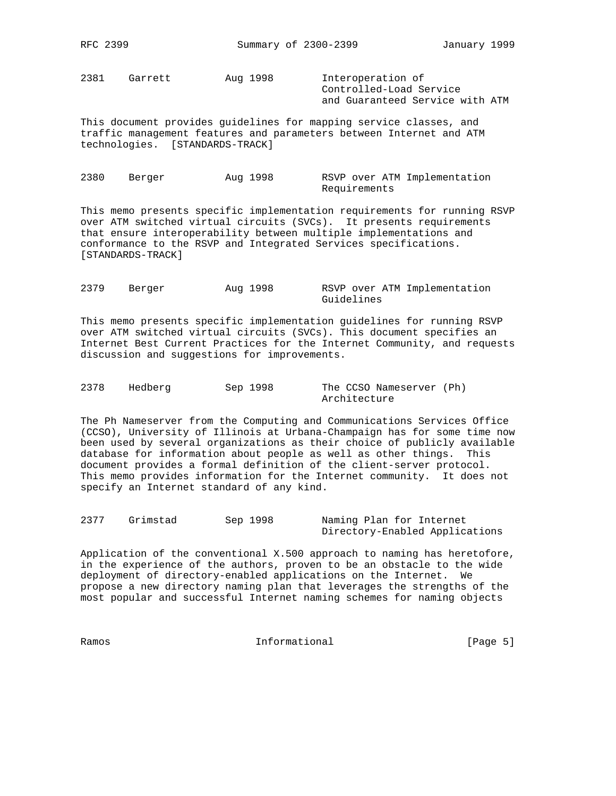2381 Garrett Aug 1998 Interoperation of

 Controlled-Load Service and Guaranteed Service with ATM

This document provides guidelines for mapping service classes, and traffic management features and parameters between Internet and ATM technologies. [STANDARDS-TRACK]

2380 Berger Aug 1998 RSVP over ATM Implementation Requirements

This memo presents specific implementation requirements for running RSVP over ATM switched virtual circuits (SVCs). It presents requirements that ensure interoperability between multiple implementations and conformance to the RSVP and Integrated Services specifications. [STANDARDS-TRACK]

2379 Berger Aug 1998 RSVP over ATM Implementation Guidelines

This memo presents specific implementation guidelines for running RSVP over ATM switched virtual circuits (SVCs). This document specifies an Internet Best Current Practices for the Internet Community, and requests discussion and suggestions for improvements.

2378 Hedberg Sep 1998 The CCSO Nameserver (Ph) Architecture

The Ph Nameserver from the Computing and Communications Services Office (CCSO), University of Illinois at Urbana-Champaign has for some time now been used by several organizations as their choice of publicly available database for information about people as well as other things. This document provides a formal definition of the client-server protocol. This memo provides information for the Internet community. It does not specify an Internet standard of any kind.

| 2377 | Grimstad | Sep 1998 | Naming Plan for Internet       |
|------|----------|----------|--------------------------------|
|      |          |          | Directory-Enabled Applications |

Application of the conventional X.500 approach to naming has heretofore, in the experience of the authors, proven to be an obstacle to the wide deployment of directory-enabled applications on the Internet. We propose a new directory naming plan that leverages the strengths of the most popular and successful Internet naming schemes for naming objects

Ramos **Example 2018** Informational **Ramos** [Page 5]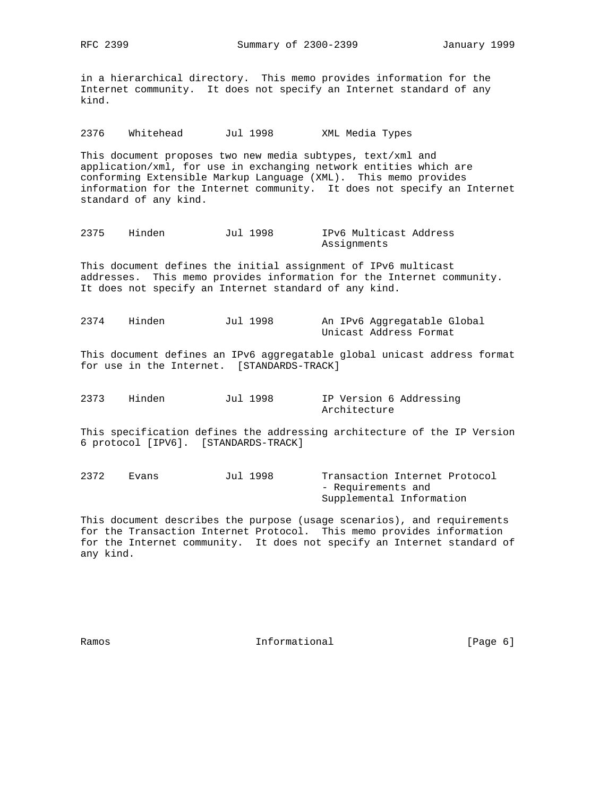in a hierarchical directory. This memo provides information for the Internet community. It does not specify an Internet standard of any kind.

2376 Whitehead Jul 1998 XML Media Types

This document proposes two new media subtypes, text/xml and application/xml, for use in exchanging network entities which are conforming Extensible Markup Language (XML). This memo provides information for the Internet community. It does not specify an Internet standard of any kind.

2375 Hinden Jul 1998 IPv6 Multicast Address Assignments

This document defines the initial assignment of IPv6 multicast addresses. This memo provides information for the Internet community. It does not specify an Internet standard of any kind.

2374 Hinden Jul 1998 An IPv6 Aggregatable Global Unicast Address Format

This document defines an IPv6 aggregatable global unicast address format for use in the Internet. [STANDARDS-TRACK]

2373 Hinden Jul 1998 IP Version 6 Addressing Architecture

This specification defines the addressing architecture of the IP Version 6 protocol [IPV6]. [STANDARDS-TRACK]

2372 Evans Jul 1998 Transaction Internet Protocol - Requirements and Supplemental Information

This document describes the purpose (usage scenarios), and requirements for the Transaction Internet Protocol. This memo provides information for the Internet community. It does not specify an Internet standard of any kind.

Ramos **Example 2018** Informational **Ramos** [Page 6]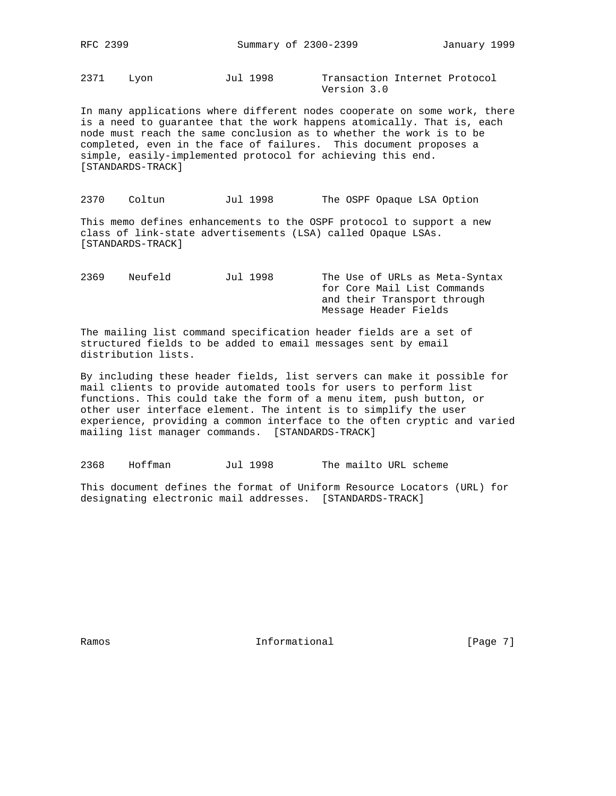2371 Lyon Jul 1998 Transaction Internet Protocol

Version 3.0

In many applications where different nodes cooperate on some work, there is a need to guarantee that the work happens atomically. That is, each node must reach the same conclusion as to whether the work is to be completed, even in the face of failures. This document proposes a simple, easily-implemented protocol for achieving this end. [STANDARDS-TRACK]

2370 Coltun Jul 1998 The OSPF Opaque LSA Option

This memo defines enhancements to the OSPF protocol to support a new class of link-state advertisements (LSA) called Opaque LSAs. [STANDARDS-TRACK]

2369 Neufeld Jul 1998 The Use of URLs as Meta-Syntax for Core Mail List Commands and their Transport through Message Header Fields

The mailing list command specification header fields are a set of structured fields to be added to email messages sent by email distribution lists.

By including these header fields, list servers can make it possible for mail clients to provide automated tools for users to perform list functions. This could take the form of a menu item, push button, or other user interface element. The intent is to simplify the user experience, providing a common interface to the often cryptic and varied mailing list manager commands. [STANDARDS-TRACK]

2368 Hoffman Jul 1998 The mailto URL scheme

This document defines the format of Uniform Resource Locators (URL) for designating electronic mail addresses. [STANDARDS-TRACK]

Ramos **Example 2** Informational **Example 2** [Page 7]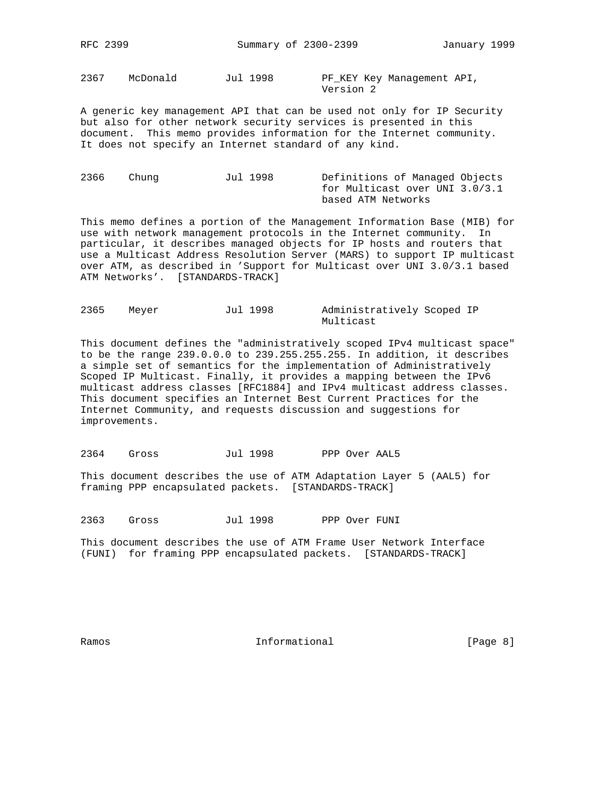2367 McDonald Jul 1998 PF\_KEY Key Management API,

Version 2

A generic key management API that can be used not only for IP Security but also for other network security services is presented in this document. This memo provides information for the Internet community. It does not specify an Internet standard of any kind.

2366 Chung Jul 1998 Definitions of Managed Objects for Multicast over UNI 3.0/3.1 based ATM Networks

This memo defines a portion of the Management Information Base (MIB) for use with network management protocols in the Internet community. In particular, it describes managed objects for IP hosts and routers that use a Multicast Address Resolution Server (MARS) to support IP multicast over ATM, as described in 'Support for Multicast over UNI 3.0/3.1 based ATM Networks'. [STANDARDS-TRACK]

| 2365 | Meyer | Jul 1998 | Administratively Scoped IP |  |
|------|-------|----------|----------------------------|--|
|      |       |          | Multicast                  |  |

This document defines the "administratively scoped IPv4 multicast space" to be the range 239.0.0.0 to 239.255.255.255. In addition, it describes a simple set of semantics for the implementation of Administratively Scoped IP Multicast. Finally, it provides a mapping between the IPv6 multicast address classes [RFC1884] and IPv4 multicast address classes. This document specifies an Internet Best Current Practices for the Internet Community, and requests discussion and suggestions for improvements.

2364 Gross Jul 1998 PPP Over AAL5

This document describes the use of ATM Adaptation Layer 5 (AAL5) for framing PPP encapsulated packets. [STANDARDS-TRACK]

2363 Gross Jul 1998 PPP Over FUNI

This document describes the use of ATM Frame User Network Interface (FUNI) for framing PPP encapsulated packets. [STANDARDS-TRACK]

Ramos **Example 1** Informational **Example 1** (Page 8)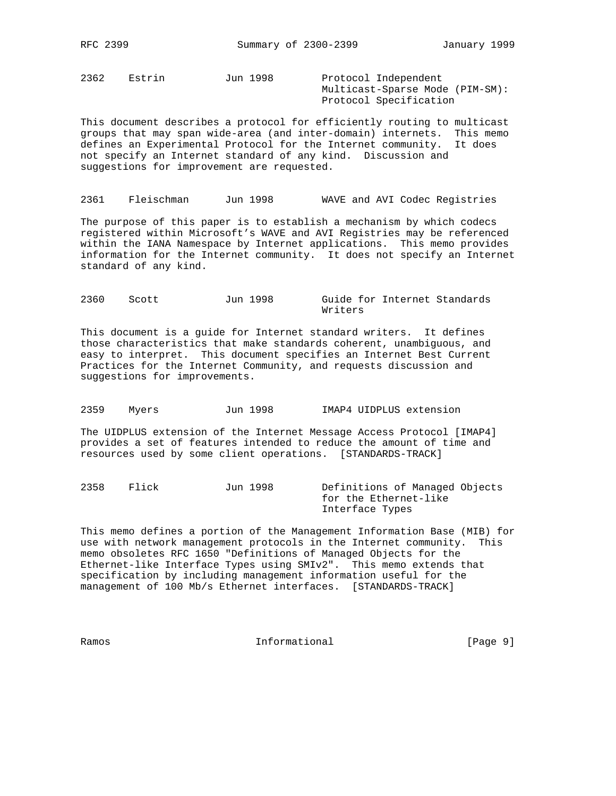2362 Estrin Jun 1998 Protocol Independent

 Multicast-Sparse Mode (PIM-SM): Protocol Specification

This document describes a protocol for efficiently routing to multicast groups that may span wide-area (and inter-domain) internets. This memo defines an Experimental Protocol for the Internet community. It does not specify an Internet standard of any kind. Discussion and suggestions for improvement are requested.

2361 Fleischman Jun 1998 WAVE and AVI Codec Registries

The purpose of this paper is to establish a mechanism by which codecs registered within Microsoft's WAVE and AVI Registries may be referenced within the IANA Namespace by Internet applications. This memo provides information for the Internet community. It does not specify an Internet standard of any kind.

2360 Scott Jun 1998 Guide for Internet Standards Writers

This document is a guide for Internet standard writers. It defines those characteristics that make standards coherent, unambiguous, and easy to interpret. This document specifies an Internet Best Current Practices for the Internet Community, and requests discussion and suggestions for improvements.

2359 Myers Jun 1998 IMAP4 UIDPLUS extension

The UIDPLUS extension of the Internet Message Access Protocol [IMAP4] provides a set of features intended to reduce the amount of time and resources used by some client operations. [STANDARDS-TRACK]

2358 Flick Jun 1998 Definitions of Managed Objects for the Ethernet-like Interface Types

This memo defines a portion of the Management Information Base (MIB) for use with network management protocols in the Internet community. This memo obsoletes RFC 1650 "Definitions of Managed Objects for the Ethernet-like Interface Types using SMIv2". This memo extends that specification by including management information useful for the management of 100 Mb/s Ethernet interfaces. [STANDARDS-TRACK]

Ramos **Example 20** Informational **Example 20** [Page 9]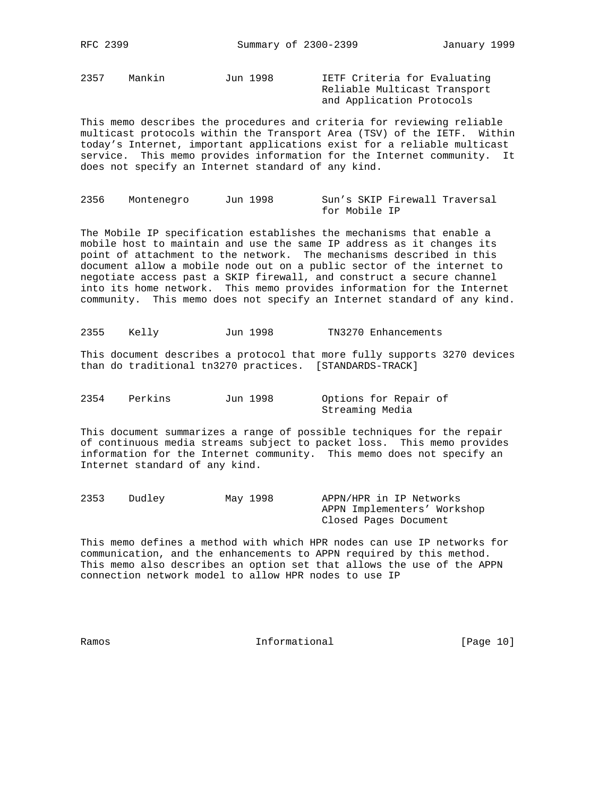2357 Mankin Jun 1998 IETF Criteria for Evaluating Reliable Multicast Transport and Application Protocols

This memo describes the procedures and criteria for reviewing reliable multicast protocols within the Transport Area (TSV) of the IETF. Within today's Internet, important applications exist for a reliable multicast service. This memo provides information for the Internet community. It does not specify an Internet standard of any kind.

2356 Montenegro Jun 1998 Sun's SKIP Firewall Traversal for Mobile IP

The Mobile IP specification establishes the mechanisms that enable a mobile host to maintain and use the same IP address as it changes its point of attachment to the network. The mechanisms described in this document allow a mobile node out on a public sector of the internet to negotiate access past a SKIP firewall, and construct a secure channel into its home network. This memo provides information for the Internet community. This memo does not specify an Internet standard of any kind.

2355 Kelly Jun 1998 TN3270 Enhancements

This document describes a protocol that more fully supports 3270 devices than do traditional tn3270 practices. [STANDARDS-TRACK]

2354 Perkins Jun 1998 Options for Repair of Streaming Media

This document summarizes a range of possible techniques for the repair of continuous media streams subject to packet loss. This memo provides information for the Internet community. This memo does not specify an Internet standard of any kind.

2353 Dudley May 1998 APPN/HPR in IP Networks APPN Implementers' Workshop Closed Pages Document

This memo defines a method with which HPR nodes can use IP networks for communication, and the enhancements to APPN required by this method. This memo also describes an option set that allows the use of the APPN connection network model to allow HPR nodes to use IP

Ramos **Informational Informational** [Page 10]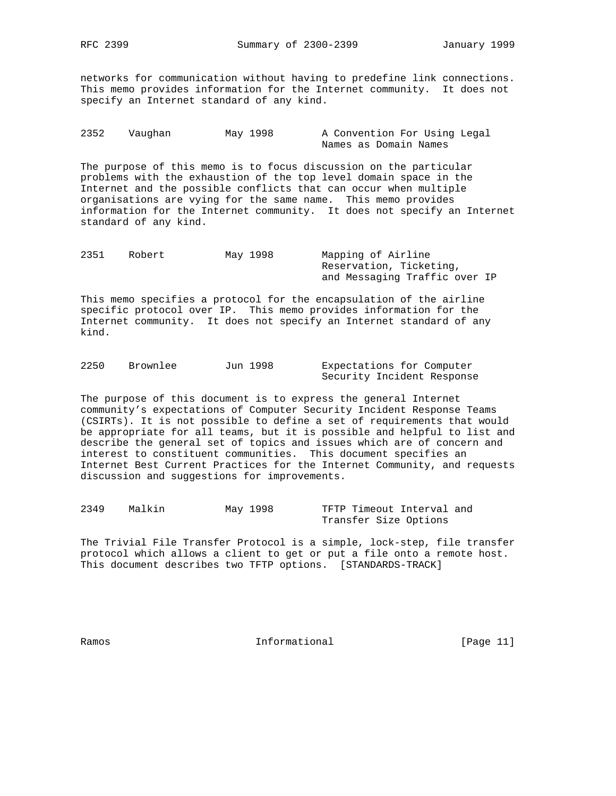networks for communication without having to predefine link connections. This memo provides information for the Internet community. It does not specify an Internet standard of any kind.

| 2352 | Vauqhan | May 1998 | A Convention For Using Legal |
|------|---------|----------|------------------------------|
|      |         |          | Names as Domain Names        |

The purpose of this memo is to focus discussion on the particular problems with the exhaustion of the top level domain space in the Internet and the possible conflicts that can occur when multiple organisations are vying for the same name. This memo provides information for the Internet community. It does not specify an Internet standard of any kind.

| 2351 | Robert | May 1998 | Mapping of Airline            |  |  |  |
|------|--------|----------|-------------------------------|--|--|--|
|      |        |          | Reservation, Ticketing,       |  |  |  |
|      |        |          | and Messaging Traffic over IP |  |  |  |

This memo specifies a protocol for the encapsulation of the airline specific protocol over IP. This memo provides information for the Internet community. It does not specify an Internet standard of any kind.

| 2250 | Brownlee | Jun 1998 | Expectations for Computer  |  |  |
|------|----------|----------|----------------------------|--|--|
|      |          |          | Security Incident Response |  |  |

The purpose of this document is to express the general Internet community's expectations of Computer Security Incident Response Teams (CSIRTs). It is not possible to define a set of requirements that would be appropriate for all teams, but it is possible and helpful to list and describe the general set of topics and issues which are of concern and interest to constituent communities. This document specifies an Internet Best Current Practices for the Internet Community, and requests discussion and suggestions for improvements.

| 2349 | Malkin | May 1998 |  |  | TFTP Timeout Interval and |  |
|------|--------|----------|--|--|---------------------------|--|
|      |        |          |  |  | Transfer Size Options     |  |

The Trivial File Transfer Protocol is a simple, lock-step, file transfer protocol which allows a client to get or put a file onto a remote host. This document describes two TFTP options. [STANDARDS-TRACK]

Ramos **Informational Informational** [Page 11]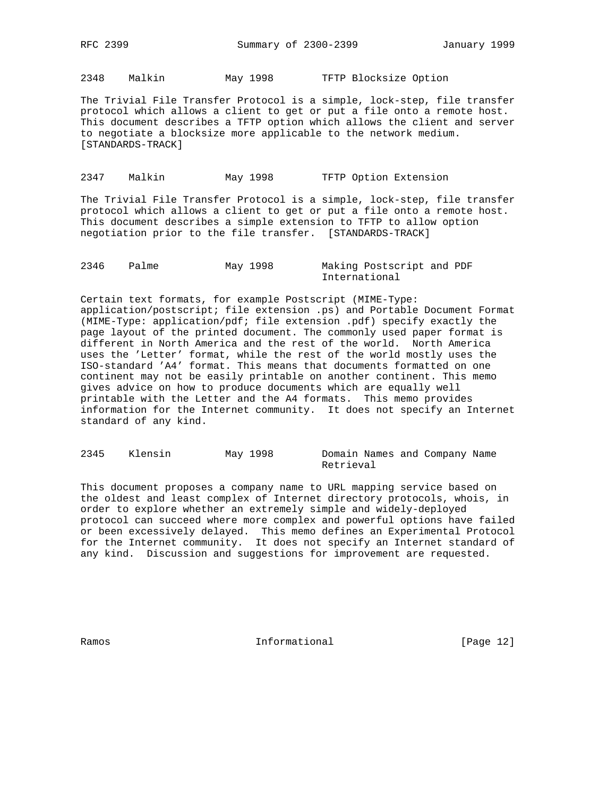2348 Malkin May 1998 TFTP Blocksize Option

The Trivial File Transfer Protocol is a simple, lock-step, file transfer protocol which allows a client to get or put a file onto a remote host. This document describes a TFTP option which allows the client and server to negotiate a blocksize more applicable to the network medium. [STANDARDS-TRACK]

## 2347 Malkin May 1998 TFTP Option Extension

The Trivial File Transfer Protocol is a simple, lock-step, file transfer protocol which allows a client to get or put a file onto a remote host. This document describes a simple extension to TFTP to allow option negotiation prior to the file transfer. [STANDARDS-TRACK]

2346 Palme May 1998 Making Postscript and PDF International

Certain text formats, for example Postscript (MIME-Type: application/postscript; file extension .ps) and Portable Document Format (MIME-Type: application/pdf; file extension .pdf) specify exactly the page layout of the printed document. The commonly used paper format is different in North America and the rest of the world. North America uses the 'Letter' format, while the rest of the world mostly uses the ISO-standard 'A4' format. This means that documents formatted on one continent may not be easily printable on another continent. This memo gives advice on how to produce documents which are equally well printable with the Letter and the A4 formats. This memo provides information for the Internet community. It does not specify an Internet standard of any kind.

2345 Klensin May 1998 Domain Names and Company Name Retrieval

This document proposes a company name to URL mapping service based on the oldest and least complex of Internet directory protocols, whois, in order to explore whether an extremely simple and widely-deployed protocol can succeed where more complex and powerful options have failed or been excessively delayed. This memo defines an Experimental Protocol for the Internet community. It does not specify an Internet standard of any kind. Discussion and suggestions for improvement are requested.

Ramos **Informational Informational** [Page 12]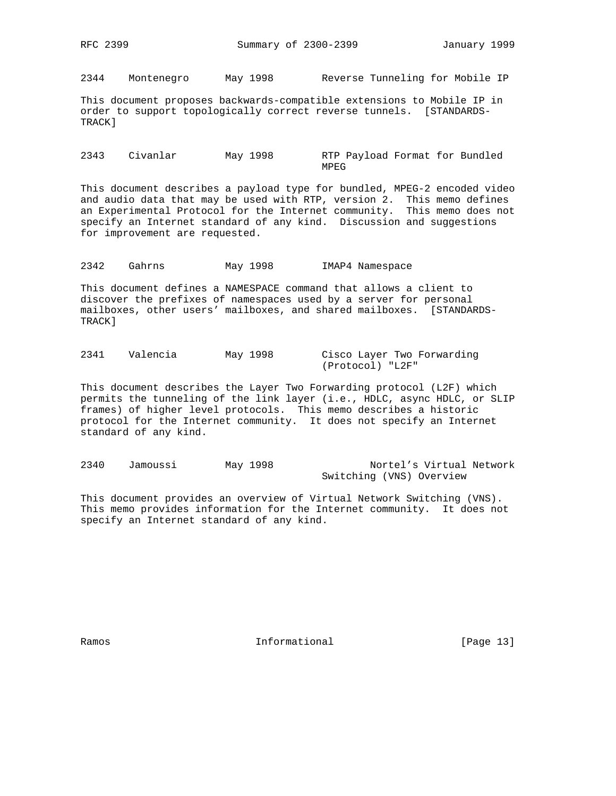2344 Montenegro May 1998 Reverse Tunneling for Mobile IP

This document proposes backwards-compatible extensions to Mobile IP in order to support topologically correct reverse tunnels. [STANDARDS-TRACK]

2343 Civanlar May 1998 RTP Payload Format for Bundled **MPEG** 

This document describes a payload type for bundled, MPEG-2 encoded video and audio data that may be used with RTP, version 2. This memo defines an Experimental Protocol for the Internet community. This memo does not specify an Internet standard of any kind. Discussion and suggestions for improvement are requested.

2342 Gahrns May 1998 IMAP4 Namespace

This document defines a NAMESPACE command that allows a client to discover the prefixes of namespaces used by a server for personal mailboxes, other users' mailboxes, and shared mailboxes. [STANDARDS-TRACK]

| 2341 | Valencia | May 1998 | Cisco Layer Two Forwarding |
|------|----------|----------|----------------------------|
|      |          |          | (Protocol) "L2F"           |

This document describes the Layer Two Forwarding protocol (L2F) which permits the tunneling of the link layer (i.e., HDLC, async HDLC, or SLIP frames) of higher level protocols. This memo describes a historic protocol for the Internet community. It does not specify an Internet standard of any kind.

2340 Jamoussi May 1998 Nortel's Virtual Network Switching (VNS) Overview

This document provides an overview of Virtual Network Switching (VNS). This memo provides information for the Internet community. It does not specify an Internet standard of any kind.

Ramos **Informational Informational** [Page 13]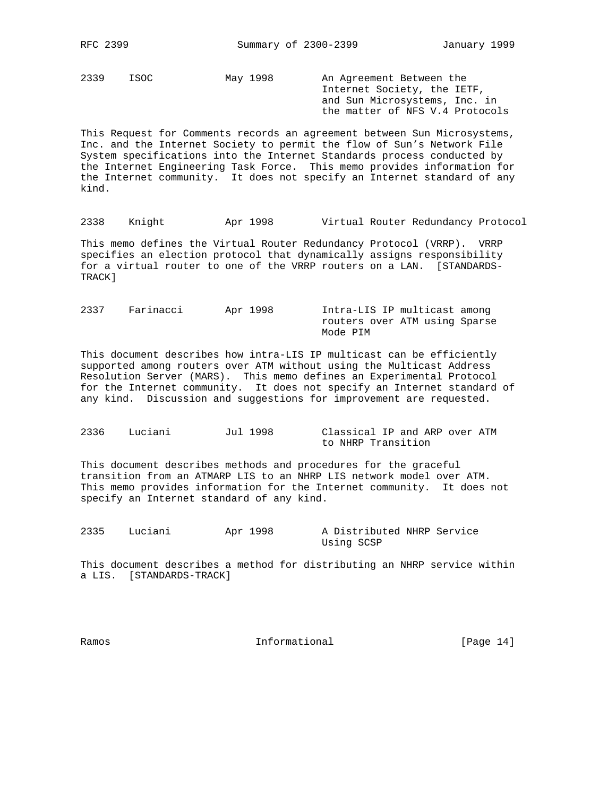2339 ISOC May 1998 An Agreement Between the

 Internet Society, the IETF, and Sun Microsystems, Inc. in the matter of NFS V.4 Protocols

This Request for Comments records an agreement between Sun Microsystems, Inc. and the Internet Society to permit the flow of Sun's Network File System specifications into the Internet Standards process conducted by the Internet Engineering Task Force. This memo provides information for the Internet community. It does not specify an Internet standard of any kind.

2338 Knight Apr 1998 Virtual Router Redundancy Protocol

This memo defines the Virtual Router Redundancy Protocol (VRRP). VRRP specifies an election protocol that dynamically assigns responsibility for a virtual router to one of the VRRP routers on a LAN. [STANDARDS-TRACK]

2337 Farinacci Apr 1998 Intra-LIS IP multicast among routers over ATM using Sparse Mode PIM

This document describes how intra-LIS IP multicast can be efficiently supported among routers over ATM without using the Multicast Address Resolution Server (MARS). This memo defines an Experimental Protocol for the Internet community. It does not specify an Internet standard of any kind. Discussion and suggestions for improvement are requested.

2336 Luciani Jul 1998 Classical IP and ARP over ATM to NHRP Transition

This document describes methods and procedures for the graceful transition from an ATMARP LIS to an NHRP LIS network model over ATM. This memo provides information for the Internet community. It does not specify an Internet standard of any kind.

2335 Luciani Apr 1998 A Distributed NHRP Service Using SCSP

This document describes a method for distributing an NHRP service within a LIS. [STANDARDS-TRACK]

Ramos **Informational Informational** [Page 14]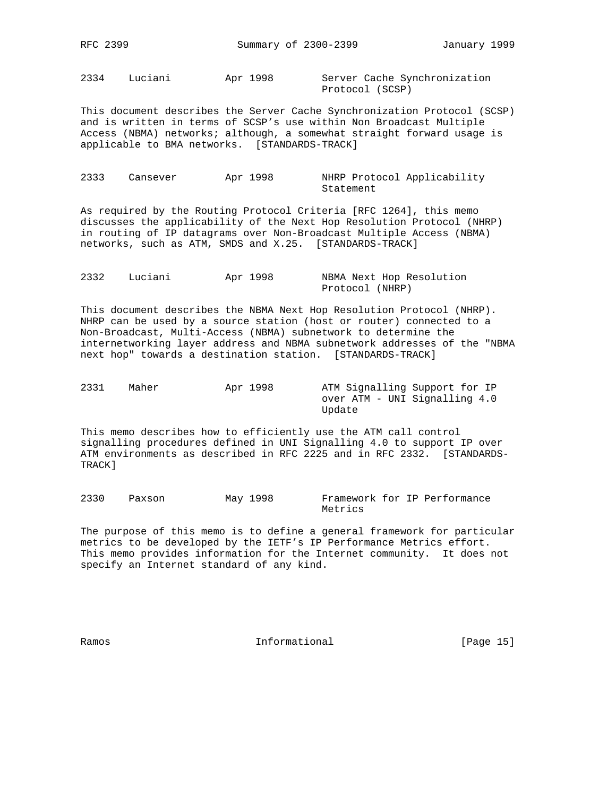2334 Luciani Apr 1998 Server Cache Synchronization

Protocol (SCSP)

This document describes the Server Cache Synchronization Protocol (SCSP) and is written in terms of SCSP's use within Non Broadcast Multiple Access (NBMA) networks; although, a somewhat straight forward usage is applicable to BMA networks. [STANDARDS-TRACK]

| 2333 | Cansever | Apr 1998 | NHRP Protocol Applicability |  |
|------|----------|----------|-----------------------------|--|
|      |          |          | Statement                   |  |

As required by the Routing Protocol Criteria [RFC 1264], this memo discusses the applicability of the Next Hop Resolution Protocol (NHRP) in routing of IP datagrams over Non-Broadcast Multiple Access (NBMA) networks, such as ATM, SMDS and X.25. [STANDARDS-TRACK]

| 2332 | Luciani | Apr 1998 |                 | NBMA Next Hop Resolution |
|------|---------|----------|-----------------|--------------------------|
|      |         |          | Protocol (NHRP) |                          |

This document describes the NBMA Next Hop Resolution Protocol (NHRP). NHRP can be used by a source station (host or router) connected to a Non-Broadcast, Multi-Access (NBMA) subnetwork to determine the internetworking layer address and NBMA subnetwork addresses of the "NBMA next hop" towards a destination station. [STANDARDS-TRACK]

| 2331 | Maher | Apr 1998 | ATM Signalling Support for IP |
|------|-------|----------|-------------------------------|
|      |       |          | over ATM - UNI Signalling 4.0 |
|      |       |          | Update                        |

This memo describes how to efficiently use the ATM call control signalling procedures defined in UNI Signalling 4.0 to support IP over ATM environments as described in RFC 2225 and in RFC 2332. [STANDARDS-TRACK]

2330 Paxson May 1998 Framework for IP Performance Metrics

The purpose of this memo is to define a general framework for particular metrics to be developed by the IETF's IP Performance Metrics effort. This memo provides information for the Internet community. It does not specify an Internet standard of any kind.

Ramos **Informational Informational** [Page 15]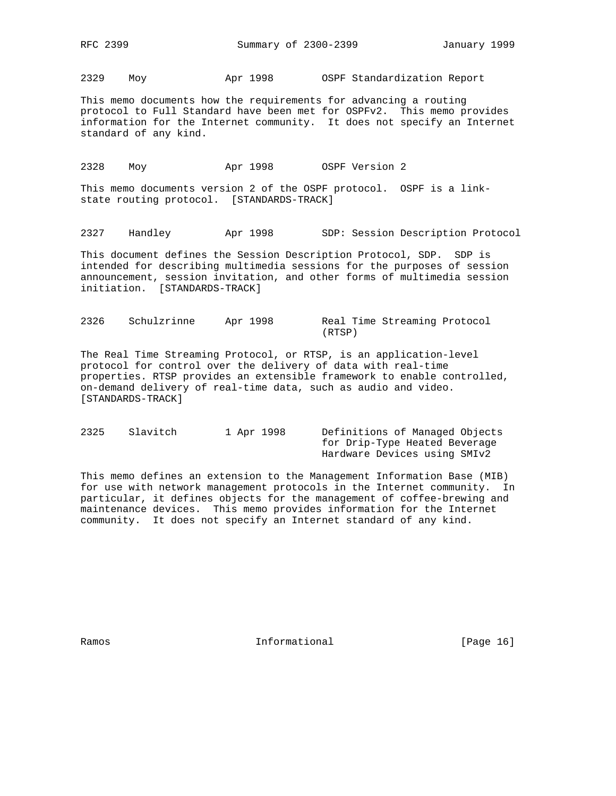2329 Moy Apr 1998 OSPF Standardization Report

This memo documents how the requirements for advancing a routing protocol to Full Standard have been met for OSPFv2. This memo provides information for the Internet community. It does not specify an Internet standard of any kind.

2328 Moy Apr 1998 OSPF Version 2

This memo documents version 2 of the OSPF protocol. OSPF is a linkstate routing protocol. [STANDARDS-TRACK]

2327 Handley Apr 1998 SDP: Session Description Protocol

This document defines the Session Description Protocol, SDP. SDP is intended for describing multimedia sessions for the purposes of session announcement, session invitation, and other forms of multimedia session initiation. [STANDARDS-TRACK]

2326 Schulzrinne Apr 1998 Real Time Streaming Protocol (RTSP)

The Real Time Streaming Protocol, or RTSP, is an application-level protocol for control over the delivery of data with real-time properties. RTSP provides an extensible framework to enable controlled, on-demand delivery of real-time data, such as audio and video. [STANDARDS-TRACK]

2325 Slavitch 1 Apr 1998 Definitions of Managed Objects for Drip-Type Heated Beverage Hardware Devices using SMIv2

This memo defines an extension to the Management Information Base (MIB) for use with network management protocols in the Internet community. In particular, it defines objects for the management of coffee-brewing and maintenance devices. This memo provides information for the Internet community. It does not specify an Internet standard of any kind.

Ramos **Informational Informational** [Page 16]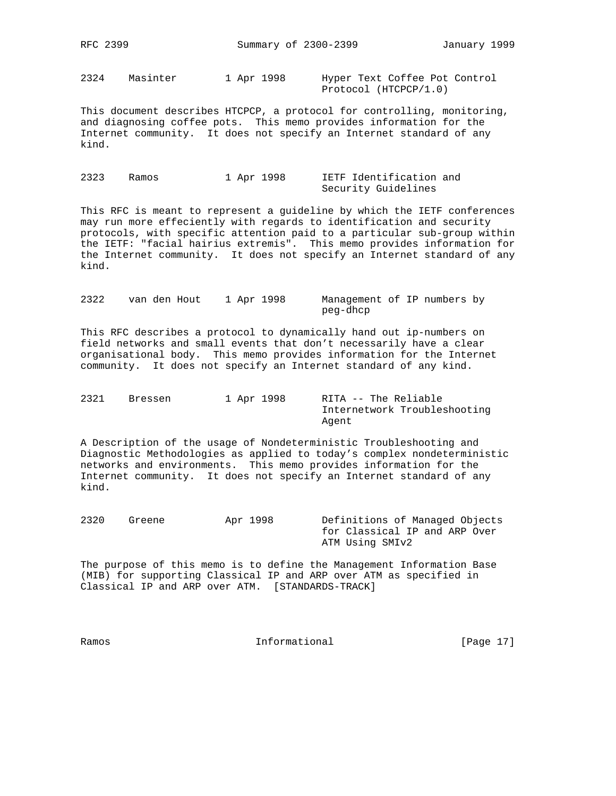2324 Masinter 1 Apr 1998 Hyper Text Coffee Pot Control

Protocol (HTCPCP/1.0)

This document describes HTCPCP, a protocol for controlling, monitoring, and diagnosing coffee pots. This memo provides information for the Internet community. It does not specify an Internet standard of any kind.

2323 Ramos 1 Apr 1998 IETF Identification and Security Guidelines

This RFC is meant to represent a guideline by which the IETF conferences may run more effeciently with regards to identification and security protocols, with specific attention paid to a particular sub-group within the IETF: "facial hairius extremis". This memo provides information for the Internet community. It does not specify an Internet standard of any kind.

2322 van den Hout 1 Apr 1998 Management of IP numbers by peg-dhcp

This RFC describes a protocol to dynamically hand out ip-numbers on field networks and small events that don't necessarily have a clear organisational body. This memo provides information for the Internet community. It does not specify an Internet standard of any kind.

| 2321 | Bressen | 1 Apr 1998 | RITA -- The Reliable         |
|------|---------|------------|------------------------------|
|      |         |            | Internetwork Troubleshooting |
|      |         |            | Agent                        |

A Description of the usage of Nondeterministic Troubleshooting and Diagnostic Methodologies as applied to today's complex nondeterministic networks and environments. This memo provides information for the Internet community. It does not specify an Internet standard of any kind.

2320 Greene Apr 1998 Definitions of Managed Objects for Classical IP and ARP Over ATM Using SMIv2

The purpose of this memo is to define the Management Information Base (MIB) for supporting Classical IP and ARP over ATM as specified in Classical IP and ARP over ATM. [STANDARDS-TRACK]

Ramos **Informational Informational** [Page 17]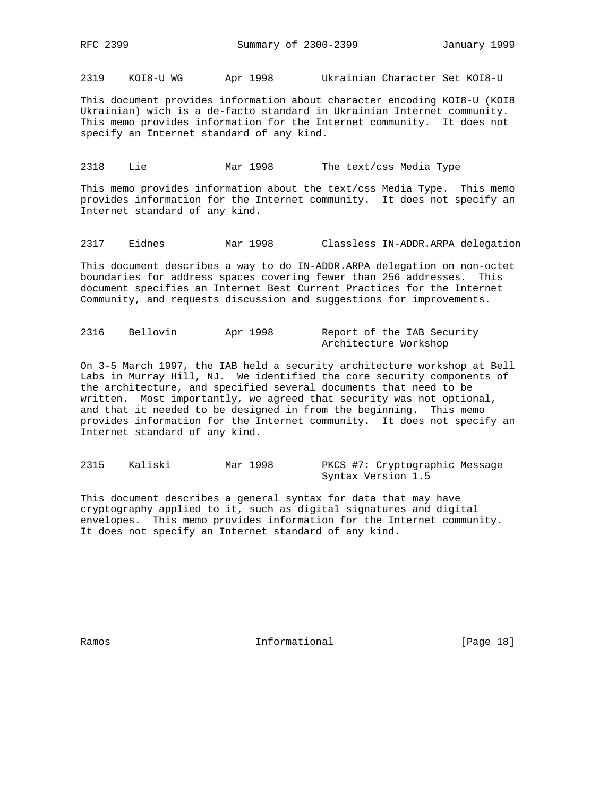2319 KOI8-U WG Apr 1998 Ukrainian Character Set KOI8-U

This document provides information about character encoding KOI8-U (KOI8 Ukrainian) wich is a de-facto standard in Ukrainian Internet community. This memo provides information for the Internet community. It does not specify an Internet standard of any kind.

2318 Lie Mar 1998 The text/css Media Type

This memo provides information about the text/css Media Type. This memo provides information for the Internet community. It does not specify an Internet standard of any kind.

2317 Eidnes Mar 1998 Classless IN-ADDR.ARPA delegation

This document describes a way to do IN-ADDR.ARPA delegation on non-octet boundaries for address spaces covering fewer than 256 addresses. This document specifies an Internet Best Current Practices for the Internet Community, and requests discussion and suggestions for improvements.

| 2316 | Bellovin | Apr 1998 | Report of the IAB Security |
|------|----------|----------|----------------------------|
|      |          |          | Architecture Workshop      |

On 3-5 March 1997, the IAB held a security architecture workshop at Bell Labs in Murray Hill, NJ. We identified the core security components of the architecture, and specified several documents that need to be written. Most importantly, we agreed that security was not optional, and that it needed to be designed in from the beginning. This memo provides information for the Internet community. It does not specify an Internet standard of any kind.

2315 Kaliski Mar 1998 PKCS #7: Cryptographic Message Syntax Version 1.5

This document describes a general syntax for data that may have cryptography applied to it, such as digital signatures and digital envelopes. This memo provides information for the Internet community. It does not specify an Internet standard of any kind.

Ramos **Informational Informational** [Page 18]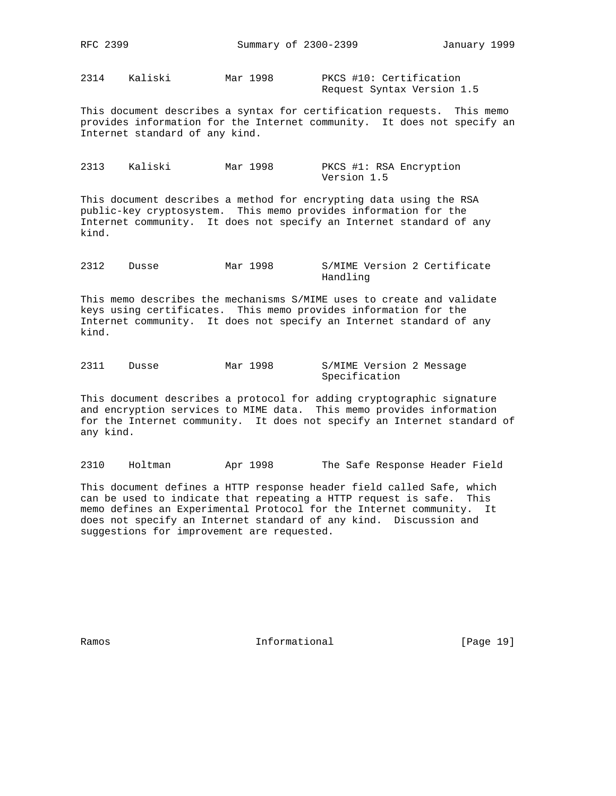2314 Kaliski Mar 1998 PKCS #10: Certification

Request Syntax Version 1.5

This document describes a syntax for certification requests. This memo provides information for the Internet community. It does not specify an Internet standard of any kind.

2313 Kaliski Mar 1998 PKCS #1: RSA Encryption Version 1.5

This document describes a method for encrypting data using the RSA public-key cryptosystem. This memo provides information for the Internet community. It does not specify an Internet standard of any kind.

2312 Dusse Mar 1998 S/MIME Version 2 Certificate Handling

This memo describes the mechanisms S/MIME uses to create and validate keys using certificates. This memo provides information for the Internet community. It does not specify an Internet standard of any kind.

2311 Dusse Mar 1998 S/MIME Version 2 Message Specification

This document describes a protocol for adding cryptographic signature and encryption services to MIME data. This memo provides information for the Internet community. It does not specify an Internet standard of any kind.

2310 Holtman Apr 1998 The Safe Response Header Field

This document defines a HTTP response header field called Safe, which can be used to indicate that repeating a HTTP request is safe. This memo defines an Experimental Protocol for the Internet community. It does not specify an Internet standard of any kind. Discussion and suggestions for improvement are requested.

Ramos **Informational Informational** [Page 19]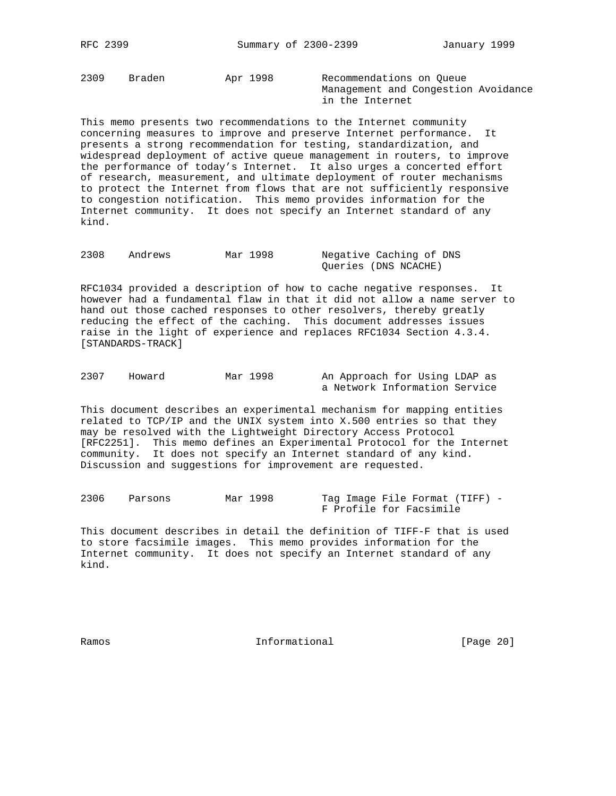2309 Braden Apr 1998 Recommendations on Queue

 Management and Congestion Avoidance in the Internet

This memo presents two recommendations to the Internet community concerning measures to improve and preserve Internet performance. It presents a strong recommendation for testing, standardization, and widespread deployment of active queue management in routers, to improve the performance of today's Internet. It also urges a concerted effort of research, measurement, and ultimate deployment of router mechanisms to protect the Internet from flows that are not sufficiently responsive to congestion notification. This memo provides information for the Internet community. It does not specify an Internet standard of any kind.

2308 Andrews Mar 1998 Negative Caching of DNS Queries (DNS NCACHE)

RFC1034 provided a description of how to cache negative responses. It however had a fundamental flaw in that it did not allow a name server to hand out those cached responses to other resolvers, thereby greatly reducing the effect of the caching. This document addresses issues raise in the light of experience and replaces RFC1034 Section 4.3.4. [STANDARDS-TRACK]

| 2307 | Howard | Mar 1998 | An Approach for Using LDAP as |  |  |
|------|--------|----------|-------------------------------|--|--|
|      |        |          | a Network Information Service |  |  |

This document describes an experimental mechanism for mapping entities related to TCP/IP and the UNIX system into X.500 entries so that they may be resolved with the Lightweight Directory Access Protocol [RFC2251]. This memo defines an Experimental Protocol for the Internet community. It does not specify an Internet standard of any kind. Discussion and suggestions for improvement are requested.

| 2306 | Parsons | Mar 1998 |  | Tag Image File Format (TIFF) - |  |
|------|---------|----------|--|--------------------------------|--|
|      |         |          |  | F Profile for Facsimile        |  |

This document describes in detail the definition of TIFF-F that is used to store facsimile images. This memo provides information for the Internet community. It does not specify an Internet standard of any kind.

Ramos **Informational Informational** [Page 20]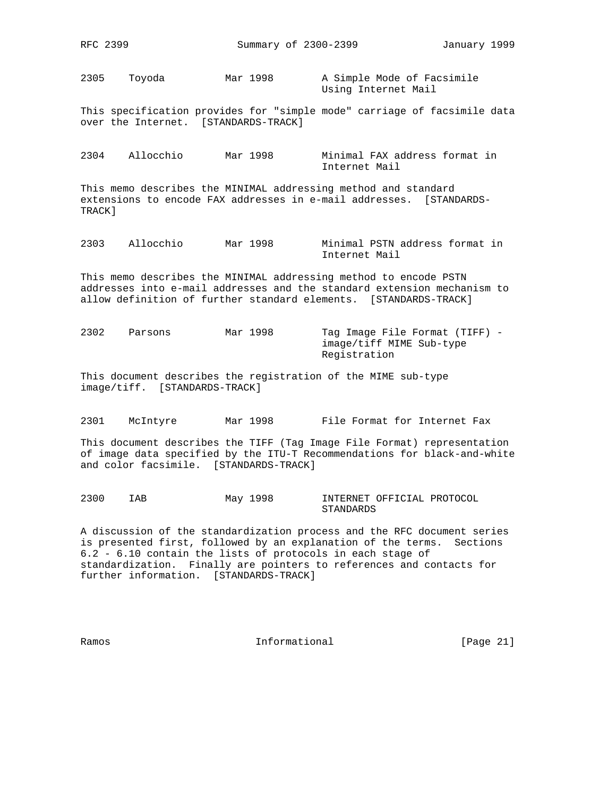2305 Toyoda Mar 1998 A Simple Mode of Facsimile Using Internet Mail

This specification provides for "simple mode" carriage of facsimile data over the Internet. [STANDARDS-TRACK]

2304 Allocchio Mar 1998 Minimal FAX address format in Internet Mail

This memo describes the MINIMAL addressing method and standard extensions to encode FAX addresses in e-mail addresses. [STANDARDS-TRACK]

2303 Allocchio Mar 1998 Minimal PSTN address format in Internet Mail

This memo describes the MINIMAL addressing method to encode PSTN addresses into e-mail addresses and the standard extension mechanism to allow definition of further standard elements. [STANDARDS-TRACK]

2302 Parsons Mar 1998 Tag Image File Format (TIFF) image/tiff MIME Sub-type Registration

This document describes the registration of the MIME sub-type image/tiff. [STANDARDS-TRACK]

2301 McIntyre Mar 1998 File Format for Internet Fax

This document describes the TIFF (Tag Image File Format) representation of image data specified by the ITU-T Recommendations for black-and-white and color facsimile. [STANDARDS-TRACK]

2300 IAB May 1998 INTERNET OFFICIAL PROTOCOL STANDARDS

A discussion of the standardization process and the RFC document series is presented first, followed by an explanation of the terms. Sections 6.2 - 6.10 contain the lists of protocols in each stage of standardization. Finally are pointers to references and contacts for further information. [STANDARDS-TRACK]

Ramos **Informational Informational** [Page 21]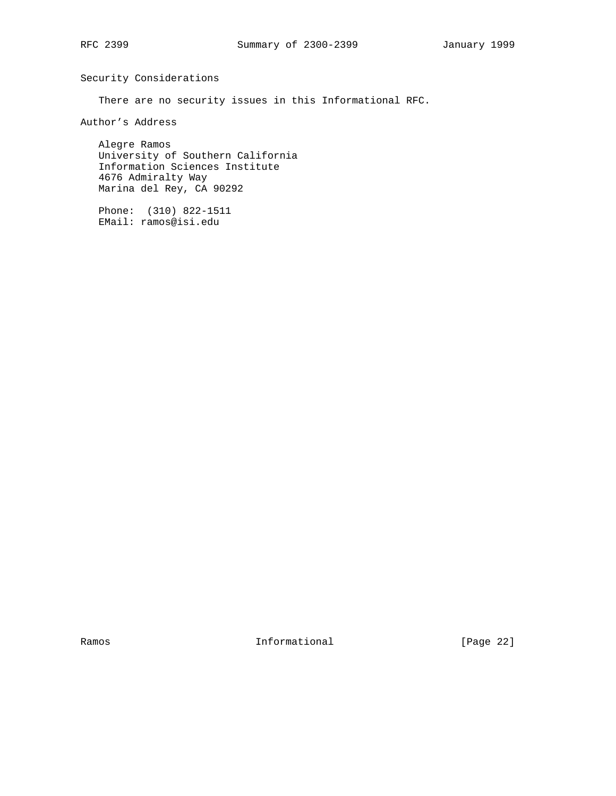Security Considerations

There are no security issues in this Informational RFC.

Author's Address

 Alegre Ramos University of Southern California Information Sciences Institute 4676 Admiralty Way Marina del Rey, CA 90292

 Phone: (310) 822-1511 EMail: ramos@isi.edu

Ramos **Informational Informational** [Page 22]